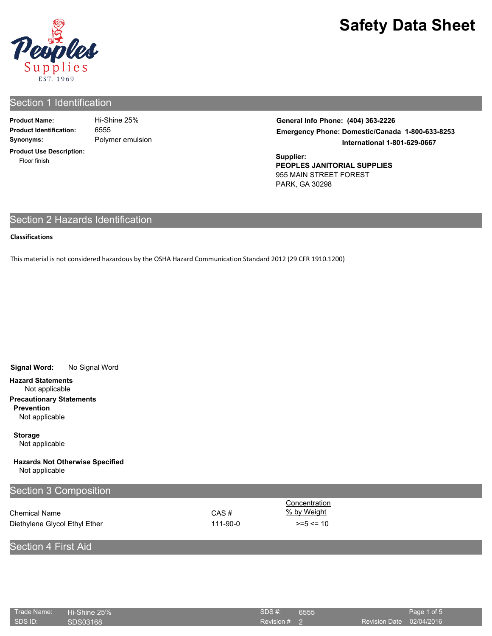

# Section 1 Identification

| <b>Product Name:</b>           |  |
|--------------------------------|--|
| <b>Product Identification:</b> |  |
| Synonyms:                      |  |

Polymer emulsion 6555 **Hi-Shine 25%** 

**Product Use Description:** Floor finish

**General Info Phone: (404) 363-2226 Emergency Phone: Domestic/Canada 1-800-633-8253 International 1-801-629-0667**

**Supplier: PEOPLES JANITORIAL SUPPLIES** 955 MAIN STREET FOREST PARK, GA 30298

# Section 2 Hazards Identification

#### **Classifications**

This material is not considered hazardous by the OSHA Hazard Communication Standard 2012 (29 CFR 1910.1200)

**Signal Word:** No Signal Word

**Hazard Statements**

Not applicable **Precautionary Statements**

**Prevention**

Not applicable

**Storage** Not applicable

**Hazards Not Otherwise Specified** Not applicable

| Section 3 Composition         |          |               |  |
|-------------------------------|----------|---------------|--|
|                               |          | Concentration |  |
| <b>Chemical Name</b>          | CAS#     | % by Weight   |  |
| Diethylene Glycol Ethyl Ether | 111-90-0 | $>= 5 < 10$   |  |
|                               |          |               |  |

# Section 4 First Aid

| Trade Name: Hi-Shine 25% |          | SDS#:          | 6555 |                          | Page 1 of 5 |
|--------------------------|----------|----------------|------|--------------------------|-------------|
| SDS ID:                  | SDS03168 | Revision $#$ 2 |      | Revision Date 02/04/2016 |             |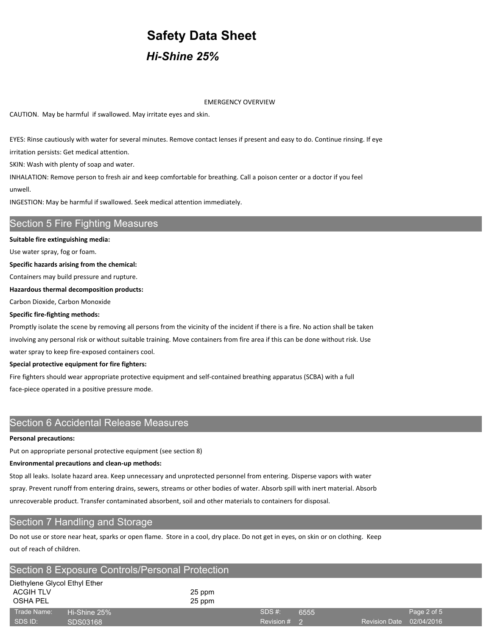# **Safety Data Sheet** *Hi-Shine 25%*

EMERGENCY OVERVIEW

CAUTION. May be harmful if swallowed. May irritate eyes and skin.

EYES: Rinse cautiously with water for several minutes. Remove contact lenses if present and easy to do. Continue rinsing. If eye

irritation persists: Get medical attention.

SKIN: Wash with plenty of soap and water.

INHALATION: Remove person to fresh air and keep comfortable for breathing. Call a poison center or a doctor if you feel unwell.

INGESTION: May be harmful if swallowed. Seek medical attention immediately.

# Section 5 Fire Fighting Measures

#### **Suitable fire extinguishing media:**

Use water spray, fog or foam.

**Specific hazards arising from the chemical:**

Containers may build pressure and rupture.

**Hazardous thermal decomposition products:**

Carbon Dioxide, Carbon Monoxide

#### **Specific fire-fighting methods:**

Promptly isolate the scene by removing all persons from the vicinity of the incident if there is a fire. No action shall be taken involving any personal risk or without suitable training. Move containers from fire area if this can be done without risk. Use water spray to keep fire-exposed containers cool.

**Special protective equipment for fire fighters:**

Fire fighters should wear appropriate protective equipment and self-contained breathing apparatus (SCBA) with a full face-piece operated in a positive pressure mode.

## Section 6 Accidental Release Measures

#### **Personal precautions:**

Put on appropriate personal protective equipment (see section 8)

#### **Environmental precautions and clean-up methods:**

Stop all leaks. Isolate hazard area. Keep unnecessary and unprotected personnel from entering. Disperse vapors with water spray. Prevent runoff from entering drains, sewers, streams or other bodies of water. Absorb spill with inert material. Absorb unrecoverable product. Transfer contaminated absorbent, soil and other materials to containers for disposal.

## Section 7 Handling and Storage

Do not use or store near heat, sparks or open flame. Store in a cool, dry place. Do not get in eyes, on skin or on clothing. Keep out of reach of children.

| <b>Section 8 Exposure Controls/Personal Protection</b> |                          |                  |                          |      |                          |             |  |
|--------------------------------------------------------|--------------------------|------------------|--------------------------|------|--------------------------|-------------|--|
| Diethylene Glycol Ethyl Ether<br>ACGIH TLV<br>OSHA PEL |                          | 25 ppm<br>25 ppm |                          |      |                          |             |  |
| Trade Name:<br>SDS ID:                                 | Hi-Shine 25%<br>SDS03168 |                  | SDS #:<br>Revision $#$ 2 | 6555 | Revision Date 02/04/2016 | Page 2 of 5 |  |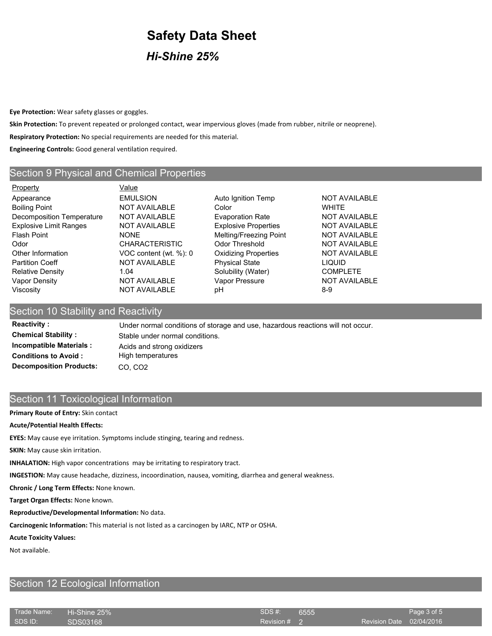*Hi-Shine 25%*

**Eye Protection:** Wear safety glasses or goggles.

**Skin Protection:** To prevent repeated or prolonged contact, wear impervious gloves (made from rubber, nitrile or neoprene).

**Respiratory Protection:** No special requirements are needed for this material.

**Engineering Controls:** Good general ventilation required.

## Section 9 Physical and Chemical Properties

Property **Value** Appearance **EMULSION** EMULSION Auto Ignition Temp **NOT AVAILABLE** Boiling Point **NOT AVAILABLE** Color **COLOR** WHITE Decomposition Temperature NOT AVAILABLE Evaporation Rate NOT AVAILABLE Explosive Limit Ranges NOT AVAILABLE Explosive Properties NOT AVAILABLE Flash Point **NONE** MElting/Freezing Point NOT AVAILABLE Odor CHARACTERISTIC Odor Threshold NOT AVAILABLE Other Information VOC content (wt. %): 0 Oxidizing Properties NOT AVAILABLE Partition Coeff **NOT AVAILABLE** Physical State LIQUID Relative Density **1.04** 1.04 Solubility (Water) COMPLETE Vapor Density **NOT AVAILABLE** Vapor Pressure NOT AVAILABLE Viscosity **NOT AVAILABLE** pH 8-9

### Section 10 Stability and Reactivity

Reactivity : Under normal conditions of storage and use, hazardous reactions will not occur. **Chemical Stability :** Stable under normal conditions. **Incompatible Materials :** Acids and strong oxidizers **Conditions to Avoid :** High temperatures **Decomposition Products: CO, CO2** 

## Section 11 Toxicological Information

#### **Primary Route of Entry:** Skin contact

#### **Acute/Potential Health Effects:**

**EYES:** May cause eye irritation. Symptoms include stinging, tearing and redness.

**SKIN:** May cause skin irritation.

**INHALATION:** High vapor concentrations may be irritating to respiratory tract.

**INGESTION:** May cause headache, dizziness, incoordination, nausea, vomiting, diarrhea and general weakness.

**Chronic / Long Term Effects:** None known.

**Target Organ Effects:** None known.

**Reproductive/Developmental Information:** No data.

**Carcinogenic Information:** This material is not listed as a carcinogen by IARC, NTP or OSHA.

## **Acute Toxicity Values:**

Not available.

# Section 12 Ecological Information

| Trade Name: | $\blacksquare$ Hi-Shine 25% | SDS #:         | 6555 |                          | Page 3 of 5 |
|-------------|-----------------------------|----------------|------|--------------------------|-------------|
| SDS ID:     | SDS03168                    | Revision $#$ 2 |      | Revision Date 02/04/2016 |             |
|             |                             |                |      |                          |             |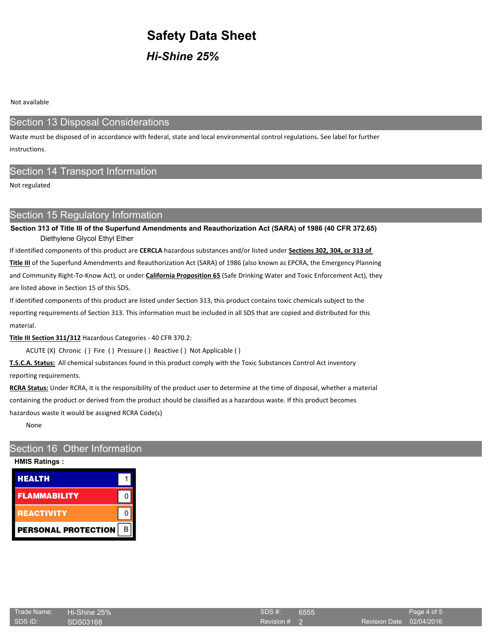*Hi-Shine 25%*

Not available

# Section 13 Disposal Considerations

Waste must be disposed of in accordance with federal, state and local environmental control regulations. See label for further instructions.

## Section 14 Transport Information

Not regulated

## Section 15 Regulatory Information

**Section 313 of Title III of the Superfund Amendments and Reauthorization Act (SARA) of 1986 (40 CFR 372.65)** Diethylene Glycol Ethyl Ether

If identified components of this product are **CERCLA** hazardous substances and/or listed under **Sections 302, 304, or 313 of** 

**Title III** of the Superfund Amendments and Reauthorization Act (SARA) of 1986 (also known as EPCRA, the Emergency Planning and Community Right-To-Know Act), or under **California Proposition 65** (Safe Drinking Water and Toxic Enforcement Act), they are listed above in Section 15 of this SDS.

If identified components of this product are listed under Section 313, this product contains toxic chemicals subject to the reporting requirements of Section 313. This information must be included in all SDS that are copied and distributed for this material.

**Title III Section 311/312** Hazardous Categories - 40 CFR 370.2:

ACUTE (X) Chronic ( ) Fire ( ) Pressure ( ) Reactive ( ) Not Applicable ( )

**T.S.C.A. Status:** All chemical substances found in this product comply with the Toxic Substances Control Act inventory reporting requirements.

**RCRA Status:** Under RCRA, it is the responsibility of the product user to determine at the time of disposal, whether a material containing the product or derived from the product should be classified as a hazardous waste. If this product becomes hazardous waste it would be assigned RCRA Code(s)

None

# Section 16 Other Information

## **HMIS Ratings :**

| <b>HEALTH</b>              |  |
|----------------------------|--|
| <b>FLAMMABILITY</b>        |  |
| <b>REACTIVITY</b>          |  |
| <b>PERSONAL PROTECTION</b> |  |

| Trade Name: | Hi-Shine 25% | SDS#:   |
|-------------|--------------|---------|
| ' SDS ID:   | SDS03168     | Revisio |